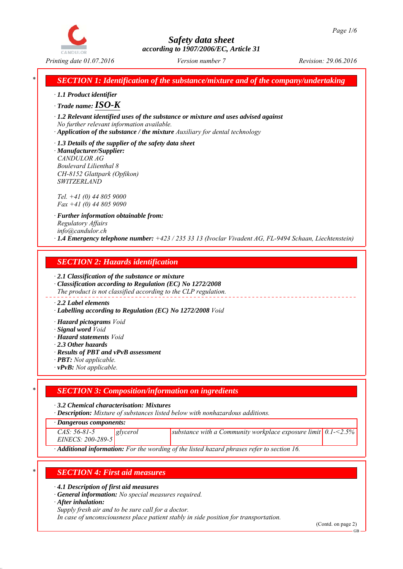

*Printing date 01.07.2016 Revision: 29.06.2016 Version number 7*

*\* SECTION 1: Identification of the substance/mixture and of the company/undertaking*

*∙ 1.1 Product identifier*

*∙ Trade name:ISO-K*

*∙ 1.2 Relevant identified uses of the substance or mixture and uses advised against No further relevant information available.*

- *∙ Application of the substance / the mixture Auxiliary for dental technology*
- *∙ 1.3 Details of the supplier of the safety data sheet*

*∙ Manufacturer/Supplier: CANDULOR AG Boulevard Lilienthal 8 CH-8152 Glattpark (Opfikon) SWITZERLAND*

*Tel. +41 (0) 44 805 9000 Fax +41 (0) 44 805 9090*

*∙ Further information obtainable from: Regulatory Affairs info@candulor.ch ∙ 1.4 Emergency telephone number: +423 / 235 33 13 (Ivoclar Vivadent AG, FL-9494 Schaan, Liechtenstein)*

## *SECTION 2: Hazards identification*

*∙ 2.1 Classification of the substance or mixture*

*∙ Classification according to Regulation (EC) No 1272/2008 The product is not classified according to the CLP regulation.*

#### *∙ 2.2 Label elements*

*∙ Labelling according to Regulation (EC) No 1272/2008 Void*

*∙ Hazard pictograms Void*

- *∙ Signal word Void*
- *∙ Hazard statements Void*
- *∙ 2.3 Other hazards*
- *∙ Results of PBT and vPvB assessment*
- *∙ PBT: Not applicable.*
- *∙ vPvB: Not applicable.*

## *\* SECTION 3: Composition/information on ingredients*

*∙ 3.2 Chemical characterisation: Mixtures*

*∙ Description: Mixture of substances listed below with nonhazardous additions.*

*∙ Dangerous components:*

*CAS: 56-81-5 EINECS: 200-289-5*

*glycerol substance with a Community workplace exposure limit 0.1-<2.5%*

*∙ Additional information: For the wording of the listed hazard phrases refer to section 16.*

## *\* SECTION 4: First aid measures*

*∙ 4.1 Description of first aid measures*

*∙ General information: No special measures required.*

*∙ After inhalation:*

*Supply fresh air and to be sure call for a doctor.*

*In case of unconsciousness place patient stably in side position for transportation.*

(Contd. on page 2)

GB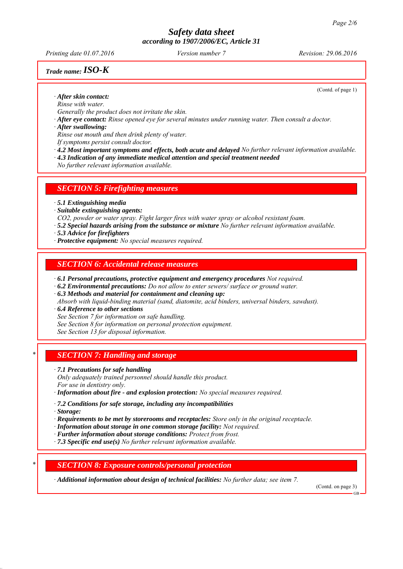*Printing date 01.07.2016 Revision: 29.06.2016 Version number 7*

## *Trade name:ISO-K*

(Contd. of page 1)

*∙ After skin contact: Rinse with water.*

*Generally the product does not irritate the skin.*

*∙ After eye contact: Rinse opened eye for several minutes under running water. Then consult a doctor.*

*∙ After swallowing:*

*Rinse out mouth and then drink plenty of water.*

*If symptoms persist consult doctor.*

*∙ 4.2 Most important symptoms and effects, both acute and delayed No further relevant information available.*

*∙ 4.3 Indication of any immediate medical attention and special treatment needed*

*No further relevant information available.*

#### *SECTION 5: Firefighting measures*

*∙ 5.1 Extinguishing media*

*∙ Suitable extinguishing agents:*

*CO2, powder or water spray. Fight larger fires with water spray or alcohol resistant foam.*

- *∙ 5.2 Special hazards arising from the substance or mixture No further relevant information available.*
- *∙ 5.3 Advice for firefighters*
- *∙ Protective equipment: No special measures required.*

### *SECTION 6: Accidental release measures*

- *∙ 6.1 Personal precautions, protective equipment and emergency procedures Not required.*
- *∙ 6.2 Environmental precautions: Do not allow to enter sewers/ surface or ground water.*

*∙ 6.3 Methods and material for containment and cleaning up:*

*Absorb with liquid-binding material (sand, diatomite, acid binders, universal binders, sawdust).*

*∙ 6.4 Reference to other sections*

*See Section 7 for information on safe handling.*

*See Section 8 for information on personal protection equipment.*

*See Section 13 for disposal information.*

## *\* SECTION 7: Handling and storage*

*∙ 7.1 Precautions for safe handling*

*Only adequately trained personnel should handle this product. For use in dentistry only.*

*∙ Information about fire - and explosion protection: No special measures required.*

*∙ 7.2 Conditions for safe storage, including any incompatibilities*

*∙ Storage:*

- *∙ Requirements to be met by storerooms and receptacles: Store only in the original receptacle.*
- *∙ Information about storage in one common storage facility: Not required.*
- *∙ Further information about storage conditions: Protect from frost.*
- *∙ 7.3 Specific end use(s) No further relevant information available.*

## *\* SECTION 8: Exposure controls/personal protection*

*∙ Additional information about design of technical facilities: No further data; see item 7.*

(Contd. on page 3)

GB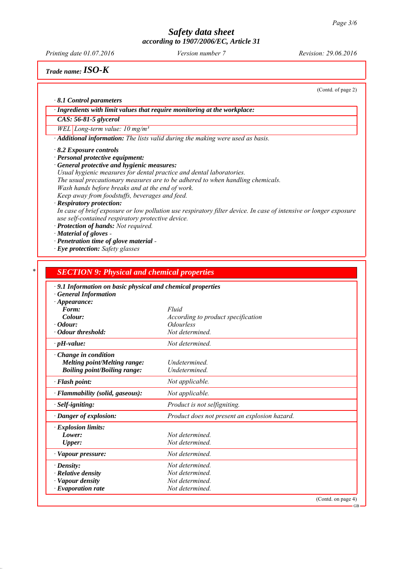*Printing date 01.07.2016 Revision: 29.06.2016 Version number 7*

*Trade name:ISO-K*

(Contd. of page 2)

GB

*∙ 8.1 Control parameters*

*∙ Ingredients with limit values that require monitoring at the workplace:*

*CAS: 56-81-5 glycerol*

*WEL Long-term value: 10 mg/m³*

*∙ Additional information: The lists valid during the making were used as basis.*

*∙ 8.2 Exposure controls*

*∙ Personal protective equipment:*

*∙ General protective and hygienic measures:*

*Usual hygienic measures for dental practice and dental laboratories. The usual precautionary measures are to be adhered to when handling chemicals.*

*Wash hands before breaks and at the end of work.*

*Keep away from foodstuffs, beverages and feed.*

*∙ Respiratory protection:*

*In case of brief exposure or low pollution use respiratory filter device. In case of intensive or longer exposure use self-contained respiratory protective device.*

*∙ Protection of hands: Not required.*

*∙ Material of gloves -* 

*∙ Penetration time of glove material -* 

*∙ Eye protection: Safety glasses*

| · 9.1 Information on basic physical and chemical properties |                                               |  |
|-------------------------------------------------------------|-----------------------------------------------|--|
| <b>General Information</b>                                  |                                               |  |
| $\cdot$ Appearance:<br>Form:                                | Fluid                                         |  |
| Colour:                                                     | According to product specification            |  |
| $\cdot$ Odour:                                              | <i><b>Odourless</b></i>                       |  |
| · Odour threshold:                                          | Not determined.                               |  |
| $\cdot$ pH-value:                                           | Not determined.                               |  |
| Change in condition                                         |                                               |  |
| <b>Melting point/Melting range:</b>                         | Undetermined.                                 |  |
| <b>Boiling point/Boiling range:</b>                         | <b>Undetermined</b>                           |  |
| · Flash point:                                              | Not applicable.                               |  |
| · Flammability (solid, gaseous):                            | Not applicable.                               |  |
| $\cdot$ Self-igniting:                                      | Product is not selfigniting.                  |  |
| · Danger of explosion:                                      | Product does not present an explosion hazard. |  |
| · Explosion limits:                                         |                                               |  |
| Lower:                                                      | Not determined.                               |  |
| Upper:                                                      | Not determined.                               |  |
| · Vapour pressure:                                          | Not determined.                               |  |
| $\cdot$ Density:                                            | Not determined.                               |  |
| $\cdot$ Relative density                                    | Not determined.                               |  |
| · Vapour density                                            | Not determined.                               |  |
| $\cdot$ Evaporation rate                                    | Not determined.                               |  |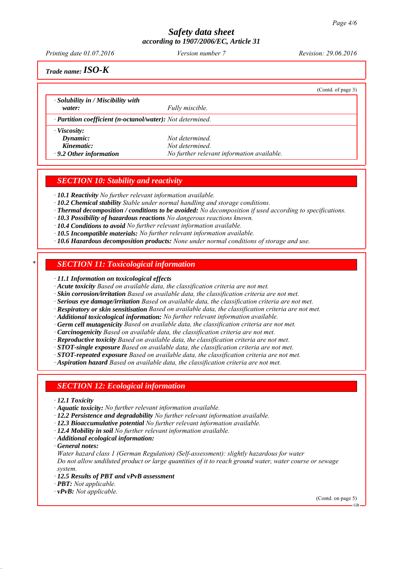*Printing date 01.07.2016 Revision: 29.06.2016 Version number 7*

(Contd. of page 3)

*Trade name:ISO-K*

*∙ Solubility in / Miscibility with*

*water: Fully miscible.*

*∙ Partition coefficient (n-octanol/water): Not determined.*

*∙ Viscosity:*

*Dynamic: Not determined. Kinematic: Not determined.*

*∙ 9.2 Other information No further relevant information available.*

## *SECTION 10: Stability and reactivity*

*∙ 10.1 Reactivity No further relevant information available.*

- *∙ 10.2 Chemical stability Stable under normal handling and storage conditions.*
- *∙ Thermal decomposition / conditions to be avoided: No decomposition if used according to specifications.*
- *∙ 10.3 Possibility of hazardous reactions No dangerous reactions known.*

*∙ 10.4 Conditions to avoid No further relevant information available.*

- *∙ 10.5 Incompatible materials: No further relevant information available.*
- *∙ 10.6 Hazardous decomposition products: None under normal conditions of storage and use.*

### *\* SECTION 11: Toxicological information*

*∙ 11.1 Information on toxicological effects*

*∙ Acute toxicity Based on available data, the classification criteria are not met.*

- *∙ Skin corrosion/irritation Based on available data, the classification criteria are not met.*
- *∙ Serious eye damage/irritation Based on available data, the classification criteria are not met.*
- *∙ Respiratory or skin sensitisation Based on available data, the classification criteria are not met.*

*∙ Additional toxicological information: No further relevant information available.*

*∙ Germ cell mutagenicity Based on available data, the classification criteria are not met.*

*∙ Carcinogenicity Based on available data, the classification criteria are not met.*

*∙ Reproductive toxicity Based on available data, the classification criteria are not met.*

- *∙ STOT-single exposure Based on available data, the classification criteria are not met.*
- *∙ STOT-repeated exposure Based on available data, the classification criteria are not met.*

*∙ Aspiration hazard Based on available data, the classification criteria are not met.*

#### *SECTION 12: Ecological information*

- *∙ 12.1 Toxicity*
- *∙ Aquatic toxicity: No further relevant information available.*
- *∙ 12.2 Persistence and degradability No further relevant information available.*
- *∙ 12.3 Bioaccumulative potential No further relevant information available.*
- *∙ 12.4 Mobility in soil No further relevant information available.*
- *∙ Additional ecological information:*
- *∙ General notes:*

*Water hazard class 1 (German Regulation) (Self-assessment): slightly hazardous for water Do not allow undiluted product or large quantities of it to reach ground water, water course or sewage system.*

- *∙ 12.5 Results of PBT and vPvB assessment*
- *∙ PBT: Not applicable.*
- *∙ vPvB: Not applicable.*

(Contd. on page 5)

GB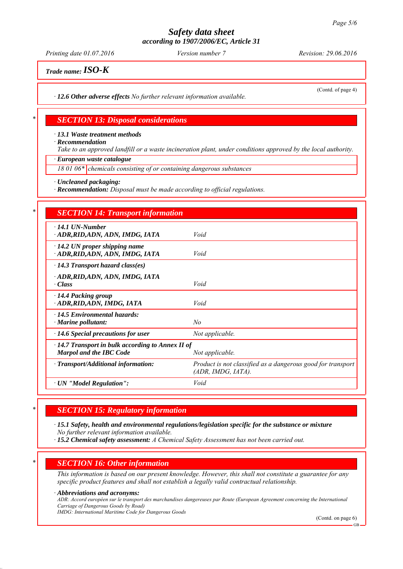*Printing date 01.07.2016 Revision: 29.06.2016 Version number 7*

(Contd. of page 4)

*Trade name:ISO-K*

*∙ 12.6 Other adverse effects No further relevant information available.*

### *\* SECTION 13: Disposal considerations*

*∙ 13.1 Waste treatment methods*

*∙ Recommendation*

*Take to an approved landfill or a waste incineration plant, under conditions approved by the local authority.*

*∙ European waste catalogue*

*18 01 06\* chemicals consisting of or containing dangerous substances*

*∙ Uncleaned packaging:*

*∙ Recommendation: Disposal must be made according to official regulations.*

| <b>SECTION 14: Transport information</b>                                                  |                                                                                   |
|-------------------------------------------------------------------------------------------|-----------------------------------------------------------------------------------|
| $\cdot$ 14.1 UN-Number<br>· ADR, RID, ADN, ADN, IMDG, IATA                                | Void                                                                              |
| $\cdot$ 14.2 UN proper shipping name<br>· ADR, RID, ADN, ADN, IMDG, IATA                  | Void                                                                              |
| $\cdot$ 14.3 Transport hazard class(es)                                                   |                                                                                   |
| · ADR, RID, ADN, ADN, IMDG, IATA<br>· Class                                               | Void                                                                              |
| · 14.4 Packing group<br>ADR, RID, ADN, IMDG, IATA                                         | Void                                                                              |
| $\cdot$ 14.5 Environmental hazards:<br>$\cdot$ Marine pollutant:                          | $N_{O}$                                                                           |
| $\cdot$ 14.6 Special precautions for user                                                 | Not applicable.                                                                   |
| $\cdot$ 14.7 Transport in bulk according to Annex II of<br><b>Marpol and the IBC Code</b> | Not applicable.                                                                   |
| · Transport/Additional information:                                                       | Product is not classified as a dangerous good for transport<br>(ADR, IMDG, IATA). |
| · UN "Model Regulation":                                                                  | Void                                                                              |

## *\* SECTION 15: Regulatory information*

*∙ 15.1 Safety, health and environmental regulations/legislation specific for the substance or mixture No further relevant information available.*

*∙ 15.2 Chemical safety assessment: A Chemical Safety Assessment has not been carried out.*

## *\* SECTION 16: Other information*

*This information is based on our present knowledge. However, this shall not constitute a guarantee for any specific product features and shall not establish a legally valid contractual relationship.*

#### *∙ Abbreviations and acronyms:*

*ADR: Accord européen sur le transport des marchandises dangereuses par Route (European Agreement concerning the International Carriage of Dangerous Goods by Road)*

*IMDG: International Maritime Code for Dangerous Goods*

(Contd. on page 6)